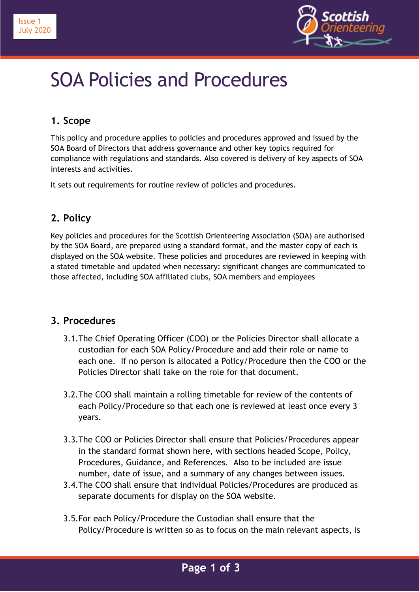



# SOA Policies and Procedures

## **1. Scope**

This policy and procedure applies to policies and procedures approved and issued by the SOA Board of Directors that address governance and other key topics required for compliance with regulations and standards. Also covered is delivery of key aspects of SOA interests and activities.

It sets out requirements for routine review of policies and procedures.

## **2. Policy**

Key policies and procedures for the Scottish Orienteering Association (SOA) are authorised by the SOA Board, are prepared using a standard format, and the master copy of each is displayed on the SOA website. These policies and procedures are reviewed in keeping with a stated timetable and updated when necessary: significant changes are communicated to those affected, including SOA affiliated clubs, SOA members and employees

### **3. Procedures**

- 3.1.The Chief Operating Officer (COO) or the Policies Director shall allocate a custodian for each SOA Policy/Procedure and add their role or name to each one. If no person is allocated a Policy/Procedure then the COO or the Policies Director shall take on the role for that document.
- 3.2.The COO shall maintain a rolling timetable for review of the contents of each Policy/Procedure so that each one is reviewed at least once every 3 years.
- 3.3.The COO or Policies Director shall ensure that Policies/Procedures appear in the standard format shown here, with sections headed Scope, Policy, Procedures, Guidance, and References. Also to be included are issue number, date of issue, and a summary of any changes between issues.
- 3.4.The COO shall ensure that individual Policies/Procedures are produced as separate documents for display on the SOA website.
- 3.5.For each Policy/Procedure the Custodian shall ensure that the Policy/Procedure is written so as to focus on the main relevant aspects, is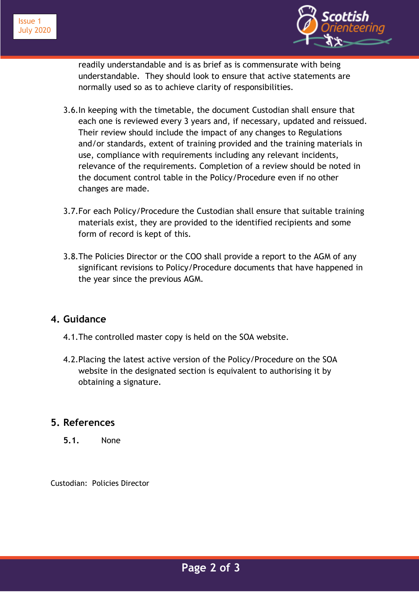



readily understandable and is as brief as is commensurate with being understandable. They should look to ensure that active statements are normally used so as to achieve clarity of responsibilities.

- 3.6.In keeping with the timetable, the document Custodian shall ensure that each one is reviewed every 3 years and, if necessary, updated and reissued. Their review should include the impact of any changes to Regulations and/or standards, extent of training provided and the training materials in use, compliance with requirements including any relevant incidents, relevance of the requirements. Completion of a review should be noted in the document control table in the Policy/Procedure even if no other changes are made.
- 3.7.For each Policy/Procedure the Custodian shall ensure that suitable training materials exist, they are provided to the identified recipients and some form of record is kept of this.
- 3.8.The Policies Director or the COO shall provide a report to the AGM of any significant revisions to Policy/Procedure documents that have happened in the year since the previous AGM.

#### **4. Guidance**

- 4.1.The controlled master copy is held on the SOA website.
- 4.2.Placing the latest active version of the Policy/Procedure on the SOA website in the designated section is equivalent to authorising it by obtaining a signature.

### **5. References**

**5.1.** None

Custodian: Policies Director